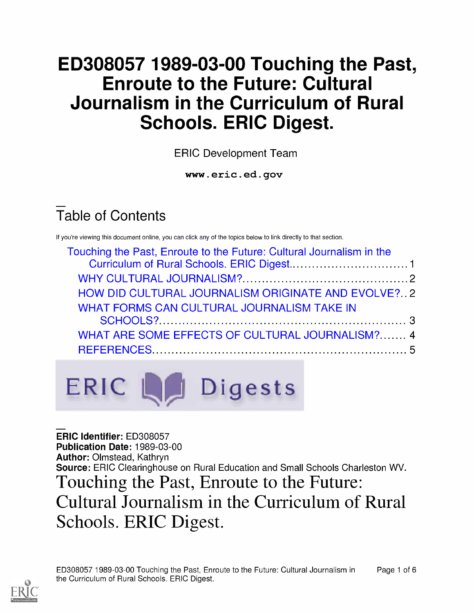# ED308057 1989-03-00 Touching the Past, Enroute to the Future: Cultural Journalism in the Curriculum of Rural Schools. ERIC Digest.

ERIC Development Team

www.eric.ed.gov

# Table of Contents

If you're viewing this document online, you can click any of the topics below to link directly to that section.

| Touching the Past, Enroute to the Future: Cultural Journalism in the |  |
|----------------------------------------------------------------------|--|
|                                                                      |  |
| HOW DID CULTURAL JOURNALISM ORIGINATE AND EVOLVE? 2                  |  |
| <b>WHAT FORMS CAN CULTURAL JOURNALISM TAKE IN</b>                    |  |
|                                                                      |  |
| WHAT ARE SOME EFFECTS OF CULTURAL JOURNALISM? 4                      |  |
|                                                                      |  |



ERIC Identifier: ED308057 Publication Date: 1989-03-00 Author: Olmstead, Kathryn Source: ERIC Clearinghouse on Rural Education and Small Schools Charleston WV. Touching the Past, Enroute to the Future: Cultural Journalism in the Curriculum of Rural Schools. ERIC Digest.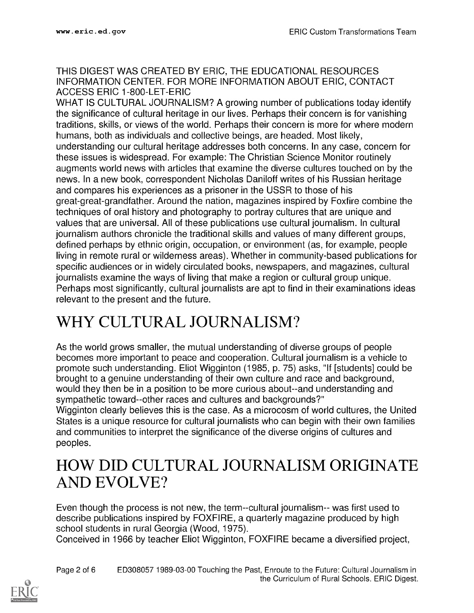#### THIS DIGEST WAS CREATED BY ERIC, THE EDUCATIONAL RESOURCES INFORMATION CENTER. FOR MORE INFORMATION ABOUT ERIC, CONTACT ACCESS ERIC 1-800-LET-ERIC

WHAT IS CULTURAL JOURNALISM? A growing number of publications today identify the significance of cultural heritage in our lives. Perhaps their concern is for vanishing traditions, skills, or views of the world. Perhaps their concern is more for where modern humans, both as individuals and collective beings, are headed. Most likely, understanding our cultural heritage addresses both concerns. In any case, concern for these issues is widespread. For example: The Christian Science Monitor routinely augments world news with articles that examine the diverse cultures touched on by the news. In a new book, correspondent Nicholas Daniloff writes of his Russian heritage and compares his experiences as a prisoner in the USSR to those of his great-great-grandfather. Around the nation, magazines inspired by Foxfire combine the techniques of oral history and photography to portray cultures that are unique and values that are universal. All of these publications use cultural journalism. In cultural journalism authors chronicle the traditional skills and values of many different groups, defined perhaps by ethnic origin, occupation, or environment (as, for example, people living in remote rural or wilderness areas). Whether in community-based publications for specific audiences or in widely circulated books, newspapers, and magazines, cultural journalists examine the ways of living that make a region or cultural group unique. Perhaps most significantly, cultural journalists are apt to find in their examinations ideas relevant to the present and the future.

## WHY CULTURAL JOURNALISM?

As the world grows smaller, the mutual understanding of diverse groups of people becomes more important to peace and cooperation. Cultural journalism is a vehicle to promote such understanding. Eliot Wigginton (1985, p. 75) asks, "If [students] could be brought to a genuine understanding of their own culture and race and background, would they then be in a position to be more curious about--and understanding and sympathetic toward--other races and cultures and backgrounds?"

Wigginton clearly believes this is the case. As a microcosm of world cultures, the United States is a unique resource for cultural journalists who can begin with their own families and communities to interpret the significance of the diverse origins of cultures and peoples.

#### HOW DID CULTURAL JOURNALISM ORIGINATE AND EVOLVE?

Even though the process is not new, the term--cultural journalism-- was first used to describe publications inspired by FOXFIRE, a quarterly magazine produced by high school students in rural Georgia (Wood, 1975).

Conceived in 1966 by teacher Eliot Wigginton, FOXFIRE became a diversified project,

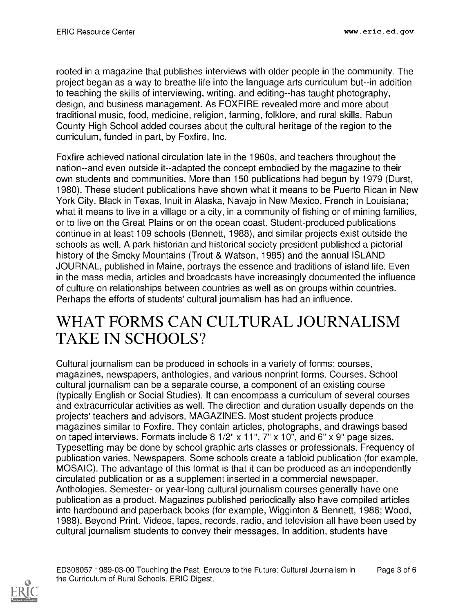rooted in a magazine that publishes interviews with older people in the community. The project began as a way to breathe life into the language arts curriculum but--in addition to teaching the skills of interviewing, writing, and editing--has taught photography, design, and business management. As FOXFIRE revealed more and more about traditional music, food, medicine, religion, farming, folklore, and rural skills, Rabun County High School added courses about the cultural heritage of the region to the curriculum, funded in part, by Foxfire, Inc.

Foxfire achieved national circulation late in the 1960s, and teachers throughout the nation--and even outside it--adapted the concept embodied by the magazine to their own students and communities. More than 150 publications had begun by 1979 (Durst, 1980). These student publications have shown what it means to be Puerto Rican in New York City, Black in Texas, Inuit in Alaska, Navajo in New Mexico, French in Louisiana; what it means to live in a village or a city, in a community of fishing or of mining families, or to live on the Great Plains or on the ocean coast. Student-produced publications continue in at least 109 schools (Bennett, 1988), and similar projects exist outside the schools as well. A park historian and historical society president published a pictorial history of the Smoky Mountains (Trout & Watson, 1985) and the annual ISLAND JOURNAL, published in Maine, portrays the essence and traditions of island life. Even in the mass media, articles and broadcasts have increasingly documented the influence of culture on relationships between countries as well as on groups within countries. Perhaps the efforts of students' cultural journalism has had an influence.

#### WHAT FORMS CAN CULTURAL JOURNALISM TAKE IN SCHOOLS?

Cultural journalism can be produced in schools in a variety of forms: courses, magazines, newspapers, anthologies, and various nonprint forms. Courses. School cultural journalism can be a separate course, a component of an existing course (typically English or Social Studies). It can encompass a curriculum of several courses and extracurricular activities as well. The direction and duration usually depends on the projects' teachers and advisors. MAGAZINES. Most student projects produce magazines similar to Foxfire. They contain articles, photographs, and drawings based on taped interviews. Formats include 8 1/2" x 11", 7" x 10", and 6" x 9" page sizes. Typesetting may be done by school graphic arts classes or professionals. Frequency of publication varies. Newspapers. Some schools create a tabloid publication (for example, MOSAIC). The advantage of this format is that it can be produced as an independently circulated publication or as a supplement inserted in a commercial newspaper. Anthologies. Semester- or year-long cultural journalism courses generally have one publication as a product. Magazines published periodically also have compiled articles into hardbound and paperback books (for example, Wigginton & Bennett, 1986; Wood, 1988). Beyond Print. Videos, tapes, records, radio, and television all have been used by cultural journalism students to convey their messages. In addition, students have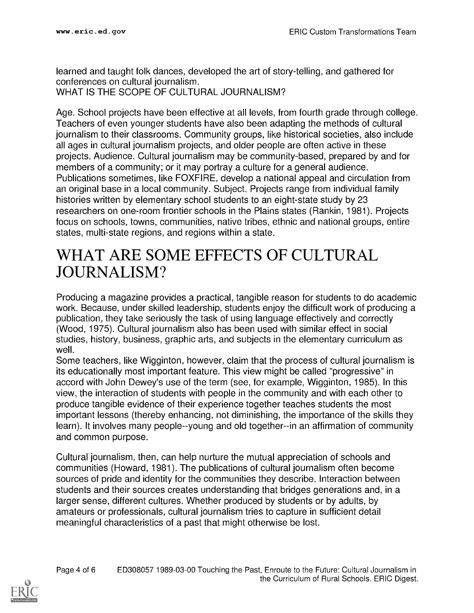learned and taught folk dances, developed the art of story-telling, and gathered for conferences on cultural journalism. WHAT IS THE SCOPE OF CULTURAL JOURNALISM?

Age. School projects have been effective at all levels, from fourth grade through college. Teachers of even younger students have also been adapting the methods of cultural journalism to their classrooms. Community groups, like historical societies, also include all ages in cultural journalism projects, and older people are often active in these projects. Audience. Cultural journalism may be community-based, prepared by and for members of a community; or it may portray a culture for a general audience. Publications sometimes, like FOXFIRE, develop a national appeal and circulation from an original base in a local community. Subject. Projects range from individual family histories written by elementary school students to an eight-state study by 23 researchers on one-room frontier schools in the Plains states (Rankin, 1981). Projects focus on schools, towns, communities, native tribes, ethnic and national groups, entire states, multi-state regions, and regions within a state.

#### WHAT ARE SOME EFFECTS OF CULTURAL JOURNALISM?

Producing a magazine provides a practical, tangible reason for students to do academic work. Because, under skilled leadership, students enjoy the difficult work of producing a publication, they take seriously the task of using language effectively and correctly (Wood, 1975). Cultural journalism also has been used with similar effect in social studies, history, business, graphic arts, and subjects in the elementary curriculum as well.

Some teachers, like Wigginton, however, claim that the process of cultural journalism is its educationally most important feature. This view might be called "progressive" in accord with John Dewey's use of the term (see, for example, Wigginton, 1985). In this view, the interaction of students with people in the community and with each other to produce tangible evidence of their experience together teaches students the most important lessons (thereby enhancing, not diminishing, the importance of the skills they learn). It involves many people--young and old together--in an affirmation of community and common purpose.

Cultural journalism, then, can help nurture the mutual appreciation of schools and communities (Howard, 1981). The publications of cultural journalism often become sources of pride and identity for the communities they describe. Interaction between students and their sources creates understanding that bridges generations and, in a larger sense, different cultures. Whether produced by students or by adults, by amateurs or professionals, cultural journalism tries to capture in sufficient detail meaningful characteristics of a past that might otherwise be lost.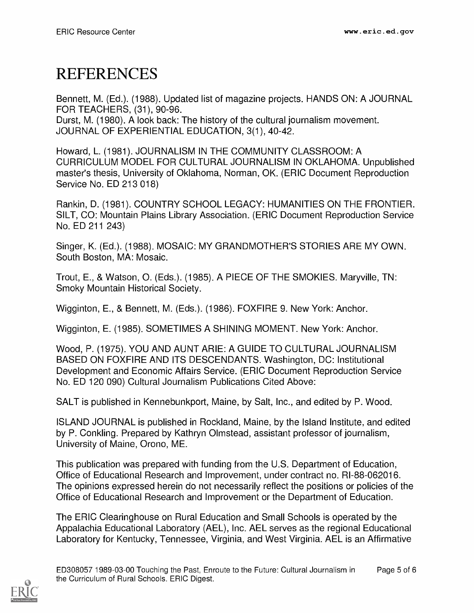## REFERENCES

Bennett, M. (Ed.). (1988). Updated list of magazine projects. HANDS ON: A JOURNAL FOR TEACHERS, (31), 90-96.

Durst, M. (1980). A look back: The history of the cultural journalism movement. JOURNAL OF EXPERIENTIAL EDUCATION, 3(1), 40-42.

Howard, L. (1981). JOURNALISM IN THE COMMUNITY CLASSROOM: A CURRICULUM MODEL FOR CULTURAL JOURNALISM IN OKLAHOMA. Unpublished master's thesis, University of Oklahoma, Norman, OK. (ERIC Document Reproduction Service No. ED 213 018)

Rankin, D. (1981). COUNTRY SCHOOL LEGACY: HUMANITIES ON THE FRONTIER. SILT, CO: Mountain Plains Library Association. (ERIC Document Reproduction Service No. ED 211 243)

Singer, K. (Ed.). (1988). MOSAIC: MY GRANDMOTHER'S STORIES ARE MY OWN. South Boston, MA: Mosaic.

Trout, E., & Watson, 0. (Eds.). (1985). A PIECE OF THE SMOKIES. Maryville, TN: Smoky Mountain Historical Society.

Wigginton, E., & Bennett, M. (Eds.). (1986). FOXFIRE 9. New York: Anchor.

Wigginton, E. (1985). SOMETIMES A SHINING MOMENT. New York: Anchor.

Wood, P. (1975). YOU AND AUNT ARIE: A GUIDE TO CULTURAL JOURNALISM BASED ON FOXFIRE AND ITS DESCENDANTS. Washington, DC: Institutional Development and Economic Affairs Service. (ERIC Document Reproduction Service No. ED 120 090) Cultural Journalism Publications Cited Above:

SALT is published in Kennebunkport, Maine, by Salt, Inc., and edited by P. Wood.

ISLAND JOURNAL is published in Rockland, Maine, by the Island Institute, and edited by P. Conkling. Prepared by Kathryn Olmstead, assistant professor of journalism, University of Maine, Orono, ME.

This publication was prepared with funding from the U.S. Department of Education, Office of Educational Research and Improvement, under contract no. RI-88-062016. The opinions expressed herein do not necessarily reflect the positions or policies of the Office of Educational Research and Improvement or the Department of Education.

The ERIC Clearinghouse on Rural Education and Small Schools is operated by the Appalachia Educational Laboratory (AEL), Inc. AEL serves as the regional Educational Laboratory for Kentucky, Tennessee, Virginia, and West Virginia. AEL is an Affirmative